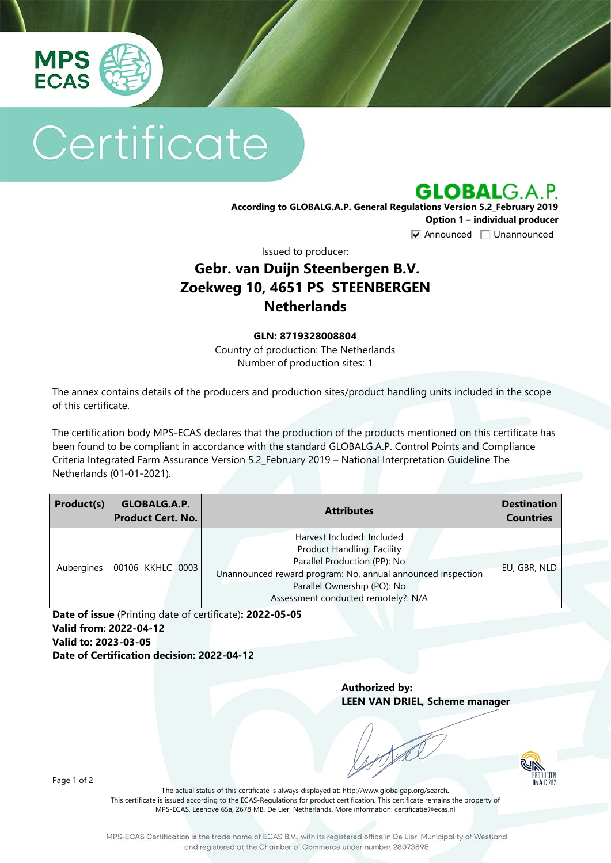

# Certificate

**GLOBALG.A.P.** 

**According to GLOBALG.A.P. General Regulations Version 5.2\_February 2019 Option 1 – individual producer**  $\nabla$  Announced  $\nabla$  Unannounced

Issued to producer:

## **Gebr. van Duijn Steenbergen B.V. Zoekweg 10, 4651 PS STEENBERGEN Netherlands**

#### **GLN: 8719328008804**

Country of production: The Netherlands Number of production sites: 1

The annex contains details of the producers and production sites/product handling units included in the scope of this certificate.

The certification body MPS-ECAS declares that the production of the products mentioned on this certificate has been found to be compliant in accordance with the standard GLOBALG.A.P. Control Points and Compliance Criteria Integrated Farm Assurance Version 5.2\_February 2019 – National Interpretation Guideline The Netherlands (01-01-2021).

| Product(s) | GLOBALG.A.P.<br><b>Product Cert. No.</b> | <b>Attributes</b>                                                                                                                                                                                                                    | <b>Destination</b><br><b>Countries</b> |
|------------|------------------------------------------|--------------------------------------------------------------------------------------------------------------------------------------------------------------------------------------------------------------------------------------|----------------------------------------|
| Aubergines | 00106- KKHLC-0003                        | Harvest Included: Included<br><b>Product Handling: Facility</b><br>Parallel Production (PP): No<br>Unannounced reward program: No, annual announced inspection<br>Parallel Ownership (PO): No<br>Assessment conducted remotely?: N/A | EU, GBR, NLD                           |

**Date of issue** (Printing date of certificate)**: 2022-05-05 Valid from: 2022-04-12 Valid to: 2023-03-05 Date of Certification decision: 2022-04-12**

> **Authorized by: LEEN VAN DRIEL, Scheme manager**



Page 1 of 2

The actual status of this certificate is always displayed at: <http://www.globalgap.org/search>**.**  This certificate is issued according to the ECAS-Regulations for product certification. This certificate remains the property of MPS-ECAS, Leehove 65a, 2678 MB, De Lier, Netherlands. More information[: certificatie@ecas.nl](mailto:certificatie@ecas.nl)